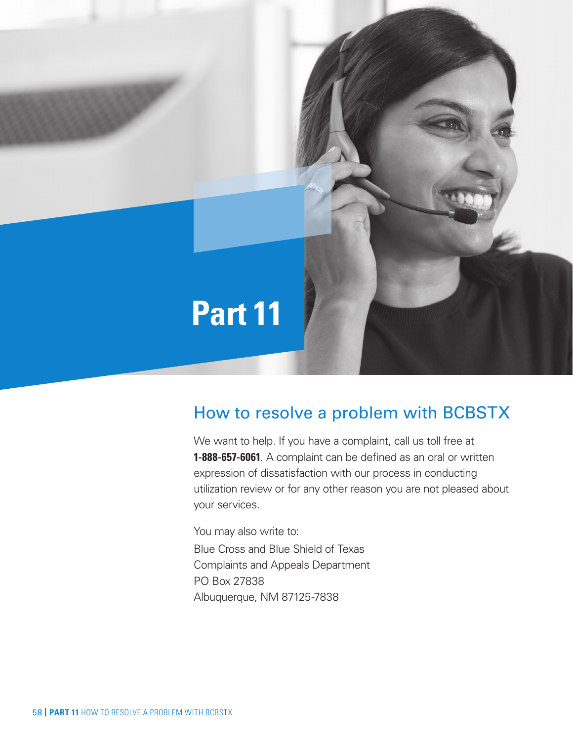

# How to resolve a problem with BCBSTX

We want to help. If you have a complaint, call us toll free at **1-888-657-6061**. A complaint can be defined as an oral or written expression of dissatisfaction with our process in conducting utilization review or for any other reason you are not pleased about your services.

You may also write to: Blue Cross and Blue Shield of Texas Complaints and Appeals Department PO Box 27838 Albuquerque, NM 87125-7838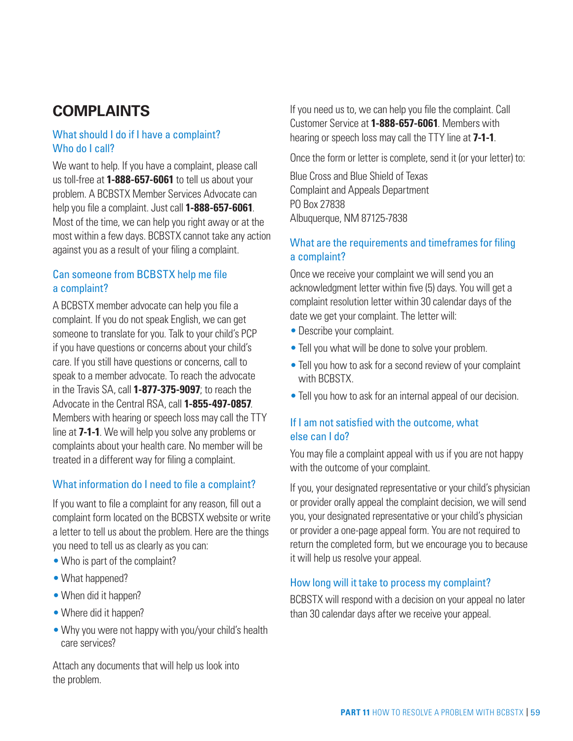# **COMPLAINTS**

# What should I do if I have a complaint? Who do I call?

We want to help. If you have a complaint, please call us toll-free at **1-888-657-6061** to tell us about your problem. A BCBSTX Member Services Advocate can help you file a complaint. Just call **1-888-657-6061**. Most of the time, we can help you right away or at the most within a few days. BCBSTX cannot take any action against you as a result of your filing a complaint.

# Can someone from BCBSTX help me file a complaint?

A BCBSTX member advocate can help you file a complaint. If you do not speak English, we can get someone to translate for you. Talk to your child's PCP if you have questions or concerns about your child's care. If you still have questions or concerns, call to speak to a member advocate. To reach the advocate in the Travis SA, call **1-877-375-9097**; to reach the Advocate in the Central RSA, call **1-855-497-0857**. Members with hearing or speech loss may call the TTY line at **7-1-1**. We will help you solve any problems or complaints about your health care. No member will be treated in a different way for filing a complaint.

#### What information do I need to file a complaint?

If you want to file a complaint for any reason, fill out a complaint form located on the BCBSTX website or write a letter to tell us about the problem. Here are the things you need to tell us as clearly as you can:

- Who is part of the complaint?
- What happened?
- When did it happen?
- Where did it happen?
- Why you were not happy with you/your child's health care services?

Attach any documents that will help us look into the problem.

If you need us to, we can help you file the complaint. Call Customer Service at **1-888-657-6061**. Members with hearing or speech loss may call the TTY line at **7-1-1**.

Once the form or letter is complete, send it (or your letter) to:

Blue Cross and Blue Shield of Texas Complaint and Appeals Department PO Box 27838 Albuquerque, NM 87125-7838

# What are the requirements and timeframes for filing a complaint?

Once we receive your complaint we will send you an acknowledgment letter within five (5) days. You will get a complaint resolution letter within 30 calendar days of the date we get your complaint. The letter will:

- Describe your complaint.
- Tell you what will be done to solve your problem.
- Tell you how to ask for a second review of your complaint with **BCBSTX**
- •Tell you how to ask for an internal appeal of our decision.

# If I am not satisfied with the outcome, what else can I do?

You may file a complaint appeal with us if you are not happy with the outcome of your complaint.

If you, your designated representative or your child's physician or provider orally appeal the complaint decision, we will send you, your designated representative or your child's physician or provider a one-page appeal form. You are not required to return the completed form, but we encourage you to because it will help us resolve your appeal.

#### How long will it take to process my complaint?

BCBSTX will respond with a decision on your appeal no later than 30 calendar days after we receive your appeal.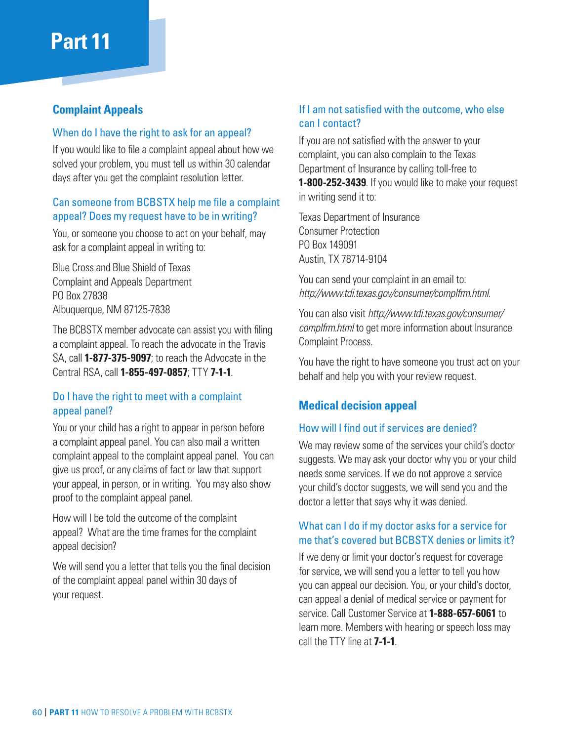# **Part 11**

# **Complaint Appeals**

#### When do I have the right to ask for an appeal?

If you would like to file a complaint appeal about how we solved your problem, you must tell us within 30 calendar days after you get the complaint resolution letter.

## Can someone from BCBSTX help me file a complaint appeal? Does my request have to be in writing?

You, or someone you choose to act on your behalf, may ask for a complaint appeal in writing to:

Blue Cross and Blue Shield of Texas Complaint and Appeals Department PO Box 27838 Albuquerque, NM 87125-7838

The BCBSTX member advocate can assist you with filing a complaint appeal. To reach the advocate in the Travis SA, call **1-877-375-9097**; to reach the Advocate in the Central RSA, call **1-855-497-0857**; TTY **7-1-1**.

## Do I have the right to meet with a complaint appeal panel?

You or your child has a right to appear in person before a complaint appeal panel. You can also mail a written complaint appeal to the complaint appeal panel. You can give us proof, or any claims of fact or law that support your appeal, in person, or in writing. You may also show proof to the complaint appeal panel.

How will I be told the outcome of the complaint appeal? What are the time frames for the complaint appeal decision?

We will send you a letter that tells you the final decision of the complaint appeal panel within 30 days of your request.

# If I am not satisfied with the outcome, who else can I contact?

If you are not satisfied with the answer to your complaint, you can also complain to the Texas Department of Insurance by calling toll-free to **1-800-252-3439**. If you would like to make your request in writing send it to:

Texas Department of Insurance Consumer Protection PO Box 149091 Austin, TX 78714-9104

You can send your complaint in an email to: *http://www.tdi.texas.gov/consumer/complfrm.html*.

You can also visit *http://www.tdi.texas.gov/consumer/ complfrm.html* to get more information about Insurance Complaint Process.

You have the right to have someone you trust act on your behalf and help you with your review request.

# **Medical decision appeal**

#### How will I find out if services are denied?

We may review some of the services your child's doctor suggests. We may ask your doctor why you or your child needs some services. If we do not approve a service your child's doctor suggests, we will send you and the doctor a letter that says why it was denied.

# What can I do if my doctor asks for a service for me that's covered but BCBSTX denies or limits it?

If we deny or limit your doctor's request for coverage for service, we will send you a letter to tell you how you can appeal our decision. You, or your child's doctor, can appeal a denial of medical service or payment for service. Call Customer Service at **1-888-657-6061** to learn more. Members with hearing or speech loss may call the TTY line at **7-1-1**.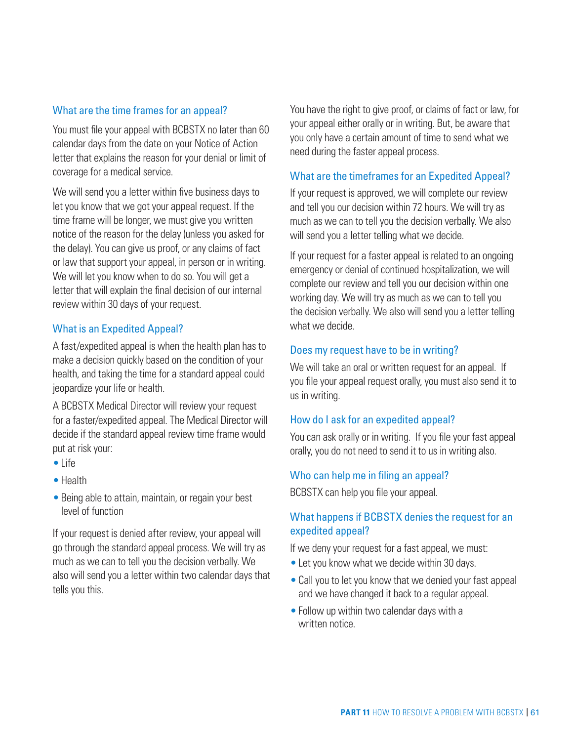#### What are the time frames for an appeal?

You must file your appeal with BCBSTX no later than 60 calendar days from the date on your Notice of Action letter that explains the reason for your denial or limit of coverage for a medical service.

We will send you a letter within five business days to let you know that we got your appeal request. If the time frame will be longer, we must give you written notice of the reason for the delay (unless you asked for the delay). You can give us proof, or any claims of fact or law that support your appeal, in person or in writing. We will let you know when to do so. You will get a letter that will explain the final decision of our internal review within 30 days of your request.

#### What is an Expedited Appeal?

A fast/expedited appeal is when the health plan has to make a decision quickly based on the condition of your health, and taking the time for a standard appeal could jeopardize your life or health.

A BCBSTX Medical Director will review your request for a faster/expedited appeal. The Medical Director will decide if the standard appeal review time frame would put at risk your:

- •Life
- •Health
- Being able to attain, maintain, or regain your best level of function

If your request is denied after review, your appeal will go through the standard appeal process. We will try as much as we can to tell you the decision verbally. We also will send you a letter within two calendar days that tells you this.

You have the right to give proof, or claims of fact or law, for your appeal either orally or in writing. But, be aware that you only have a certain amount of time to send what we need during the faster appeal process.

#### What are the timeframes for an Expedited Appeal?

If your request is approved, we will complete our review and tell you our decision within 72 hours. We will try as much as we can to tell you the decision verbally. We also will send you a letter telling what we decide.

If your request for a faster appeal is related to an ongoing emergency or denial of continued hospitalization, we will complete our review and tell you our decision within one working day. We will try as much as we can to tell you the decision verbally. We also will send you a letter telling what we decide.

#### Does my request have to be in writing?

We will take an oral or written request for an appeal. If you file your appeal request orally, you must also send it to us in writing.

#### How do I ask for an expedited appeal?

You can ask orally or in writing. If you file your fast appeal orally, you do not need to send it to us in writing also.

#### Who can help me in filing an appeal?

BCBSTX can help you file your appeal.

#### What happens if BCBSTX denies the request for an expedited appeal?

If we deny your request for a fast appeal, we must:

- Let you know what we decide within 30 days.
- •Call you to let you know that we denied your fast appeal and we have changed it back to a regular appeal.
- Follow up within two calendar days with a written notice.